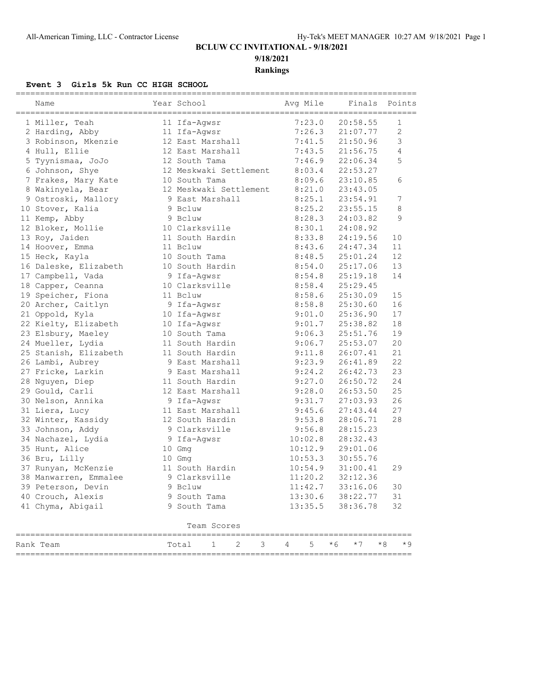## **BCLUW CC INVITATIONAL - 9/18/2021**

**9/18/2021**

**Rankings**

## **Event 3 Girls 5k Run CC HIGH SCHOOL**

| Name                  | Year School            | ========================<br>Avq Mile | Finals       | Points         |
|-----------------------|------------------------|--------------------------------------|--------------|----------------|
| 1 Miller, Teah        | 11 Ifa-Aqwsr           | 7:23.0                               | 20:58.55     | 1              |
| 2 Harding, Abby       | 11 Ifa-Aqwsr           | 7:26.3                               | 21:07.77     | $\overline{c}$ |
| 3 Robinson, Mkenzie   | 12 East Marshall       | 7:41.5                               | 21:50.96     | 3              |
| 4 Hull, Ellie         | 12 East Marshall       | 7:43.5                               | 21:56.75     | 4              |
| 5 Tyynismaa, JoJo     | 12 South Tama          | 7:46.9                               | 22:06.34     | 5              |
| 6 Johnson, Shye       | 12 Meskwaki Settlement | 8:03.4                               | 22:53.27     |                |
| 7 Frakes, Mary Kate   | 10 South Tama          | 8:09.6                               | 23:10.85     | 6              |
| 8 Wakinyela, Bear     | 12 Meskwaki Settlement | 8:21.0                               | 23:43.05     |                |
| 9 Ostroski, Mallory   | 9 East Marshall        | 8:25.1                               | 23:54.91     | $\overline{7}$ |
| 10 Stover, Kalia      | 9 Bcluw                | 8:25.2                               | 23:55.15     | 8              |
| 11 Kemp, Abby         | 9 Bcluw                | 8:28.3                               | 24:03.82     | 9              |
| 12 Bloker, Mollie     | 10 Clarksville         | 8:30.1                               | 24:08.92     |                |
| 13 Roy, Jaiden        | 11 South Hardin        | 8:33.8                               | 24:19.56     | 10             |
| 14 Hoover, Emma       | 11 Bcluw               | 8:43.6                               | 24:47.34     | 11             |
| 15 Heck, Kayla        | 10 South Tama          | 8:48.5                               | 25:01.24     | 12             |
| 16 Daleske, Elizabeth | 10 South Hardin        | 8:54.0                               | 25:17.06     | 13             |
| 17 Campbell, Vada     | 9 Ifa-Agwsr            | 8:54.8                               | 25:19.18     | 14             |
| 18 Capper, Ceanna     | 10 Clarksville         | 8:58.4                               | 25:29.45     |                |
| 19 Speicher, Fiona    | 11 Bcluw               | 8:58.6                               | 25:30.09     | 15             |
| 20 Archer, Caitlyn    | 9 Ifa-Aqwsr            | 8:58.8                               | 25:30.60     | 16             |
| 21 Oppold, Kyla       | 10 Ifa-Agwsr           | 9:01.0                               | 25:36.90     | 17             |
| 22 Kielty, Elizabeth  | 10 Ifa-Aqwsr           | 9:01.7                               | 25:38.82     | 18             |
| 23 Elsbury, Maeley    | 10 South Tama          | 9:06.3                               | 25:51.76     | 19             |
| 24 Mueller, Lydia     | 11 South Hardin        | 9:06.7                               | 25:53.07     | 20             |
| 25 Stanish, Elizabeth | 11 South Hardin        | 9:11.8                               | 26:07.41     | 21             |
| 26 Lambi, Aubrey      | 9 East Marshall        | 9:23.9                               | 26:41.89     | 22             |
| 27 Fricke, Larkin     | 9 East Marshall        | 9:24.2                               | 26:42.73     | 23             |
| 28 Nguyen, Diep       | 11 South Hardin        | 9:27.0                               | 26:50.72     | 24             |
| 29 Gould, Carli       | 12 East Marshall       | 9:28.0                               | 26:53.50     | 25             |
| 30 Nelson, Annika     | 9 Ifa-Agwsr            | 9:31.7                               | 27:03.93     | 26             |
| 31 Liera, Lucy        | 11 East Marshall       | 9:45.6                               | 27:43.44     | 27             |
| 32 Winter, Kassidy    | 12 South Hardin        | 9:53.8                               | 28:06.71     | 28             |
| 33 Johnson, Addy      | 9 Clarksville          | 9:56.8                               | 28:15.23     |                |
| 34 Nachazel, Lydia    | 9 Ifa-Aqwsr            | 10:02.8                              | 28:32.43     |                |
| 35 Hunt, Alice        | 10 Gmg                 | 10:12.9                              | 29:01.06     |                |
| 36 Bru, Lilly         | $10$ Gmq               | 10:53.3                              | 30:55.76     |                |
| 37 Runyan, McKenzie   | 11 South Hardin        | 10:54.9                              | 31:00.41     | 29             |
| 38 Manwarren, Emmalee | 9 Clarksville          | 11:20.2                              | 32:12.36     |                |
| 39 Peterson, Devin    | 9 Bcluw                | 11:42.7                              | 33:16.06     | 30             |
| 40 Crouch, Alexis     | 9 South Tama           | 13:30.6                              | 38:22.77     | 31             |
| 41 Chyma, Abigail     | 9 South Tama           | 13:35.5                              | 38:36.78     | 32             |
|                       | Team Scores            |                                      |              |                |
| Rank Team             | 2<br>3<br>Total<br>1   | 5<br>4                               | $*6$<br>$*7$ | $*8$<br>$*9$   |